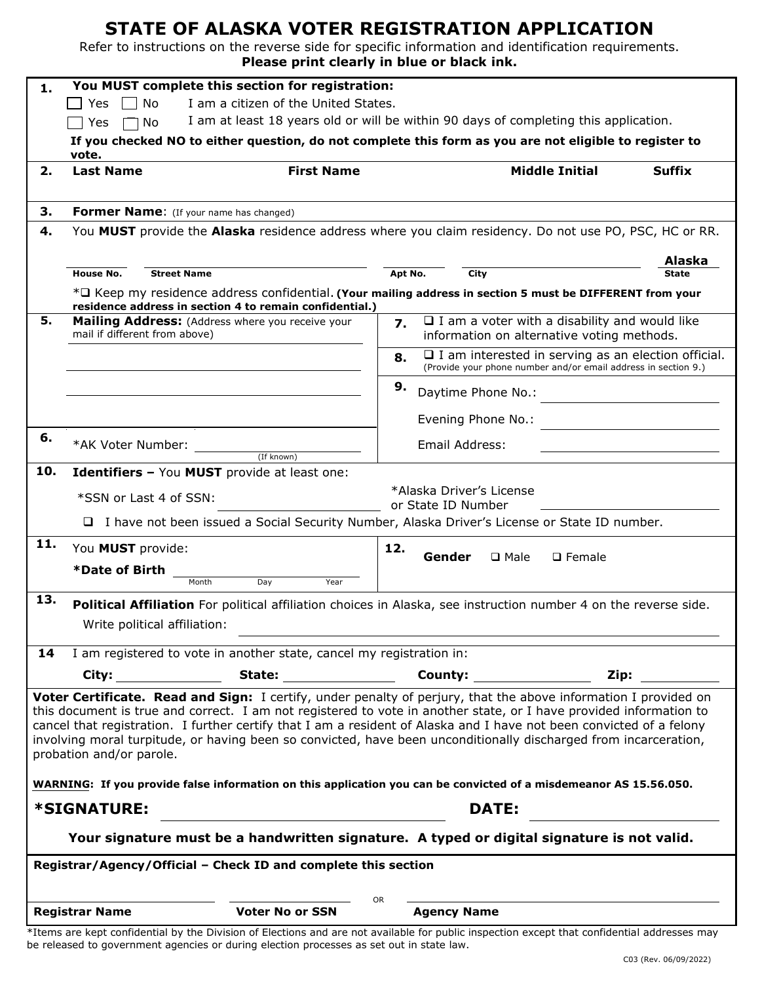## **STATE OF ALASKA VOTER REGISTRATION APPLICATION**

Refer to instructions on the reverse side for specific information and identification requirements. **Please print clearly in blue or black ink.**

| 1.                                                                                                                                                                                                                                                                                                                                                                                                                                                                                                            | You MUST complete this section for registration:                                                                                                                                                 |                                                                                                |                                                                                                                                    |                       |               |  |
|---------------------------------------------------------------------------------------------------------------------------------------------------------------------------------------------------------------------------------------------------------------------------------------------------------------------------------------------------------------------------------------------------------------------------------------------------------------------------------------------------------------|--------------------------------------------------------------------------------------------------------------------------------------------------------------------------------------------------|------------------------------------------------------------------------------------------------|------------------------------------------------------------------------------------------------------------------------------------|-----------------------|---------------|--|
|                                                                                                                                                                                                                                                                                                                                                                                                                                                                                                               | I am a citizen of the United States.<br>Yes<br>No                                                                                                                                                |                                                                                                |                                                                                                                                    |                       |               |  |
|                                                                                                                                                                                                                                                                                                                                                                                                                                                                                                               | I am at least 18 years old or will be within 90 days of completing this application.<br>Yes<br>  No                                                                                              |                                                                                                |                                                                                                                                    |                       |               |  |
|                                                                                                                                                                                                                                                                                                                                                                                                                                                                                                               | If you checked NO to either question, do not complete this form as you are not eligible to register to<br>vote.                                                                                  |                                                                                                |                                                                                                                                    |                       |               |  |
| 2.                                                                                                                                                                                                                                                                                                                                                                                                                                                                                                            | <b>Last Name</b>                                                                                                                                                                                 | <b>First Name</b>                                                                              |                                                                                                                                    | <b>Middle Initial</b> | <b>Suffix</b> |  |
|                                                                                                                                                                                                                                                                                                                                                                                                                                                                                                               |                                                                                                                                                                                                  |                                                                                                |                                                                                                                                    |                       |               |  |
| 3.                                                                                                                                                                                                                                                                                                                                                                                                                                                                                                            | Former Name: (If your name has changed)                                                                                                                                                          |                                                                                                |                                                                                                                                    |                       |               |  |
| 4.                                                                                                                                                                                                                                                                                                                                                                                                                                                                                                            | You MUST provide the Alaska residence address where you claim residency. Do not use PO, PSC, HC or RR.                                                                                           |                                                                                                |                                                                                                                                    |                       |               |  |
|                                                                                                                                                                                                                                                                                                                                                                                                                                                                                                               |                                                                                                                                                                                                  |                                                                                                |                                                                                                                                    |                       | Alaska        |  |
|                                                                                                                                                                                                                                                                                                                                                                                                                                                                                                               | <b>House No.</b><br><b>Street Name</b>                                                                                                                                                           |                                                                                                | Apt No.<br>City                                                                                                                    |                       | State         |  |
|                                                                                                                                                                                                                                                                                                                                                                                                                                                                                                               | * <sup><math>\Box</math></sup> Keep my residence address confidential. (Your mailing address in section 5 must be DIFFERENT from your<br>residence address in section 4 to remain confidential.) |                                                                                                |                                                                                                                                    |                       |               |  |
| 5.                                                                                                                                                                                                                                                                                                                                                                                                                                                                                                            |                                                                                                                                                                                                  | Mailing Address: (Address where you receive your                                               | $\Box$ I am a voter with a disability and would like<br>7.                                                                         |                       |               |  |
|                                                                                                                                                                                                                                                                                                                                                                                                                                                                                                               | mail if different from above)                                                                                                                                                                    |                                                                                                | information on alternative voting methods.                                                                                         |                       |               |  |
|                                                                                                                                                                                                                                                                                                                                                                                                                                                                                                               |                                                                                                                                                                                                  |                                                                                                | $\Box$ I am interested in serving as an election official.<br>8.<br>(Provide your phone number and/or email address in section 9.) |                       |               |  |
|                                                                                                                                                                                                                                                                                                                                                                                                                                                                                                               |                                                                                                                                                                                                  |                                                                                                | 9.<br>Daytime Phone No.:                                                                                                           |                       |               |  |
|                                                                                                                                                                                                                                                                                                                                                                                                                                                                                                               |                                                                                                                                                                                                  |                                                                                                | Evening Phone No.:                                                                                                                 |                       |               |  |
| 6.                                                                                                                                                                                                                                                                                                                                                                                                                                                                                                            | *AK Voter Number:                                                                                                                                                                                | (If known)                                                                                     | Email Address:                                                                                                                     |                       |               |  |
| 10.                                                                                                                                                                                                                                                                                                                                                                                                                                                                                                           |                                                                                                                                                                                                  | Identifiers - You MUST provide at least one:                                                   |                                                                                                                                    |                       |               |  |
|                                                                                                                                                                                                                                                                                                                                                                                                                                                                                                               |                                                                                                                                                                                                  |                                                                                                | *Alaska Driver's License                                                                                                           |                       |               |  |
|                                                                                                                                                                                                                                                                                                                                                                                                                                                                                                               | *SSN or Last 4 of SSN:                                                                                                                                                                           |                                                                                                | or State ID Number                                                                                                                 |                       |               |  |
|                                                                                                                                                                                                                                                                                                                                                                                                                                                                                                               |                                                                                                                                                                                                  | □ I have not been issued a Social Security Number, Alaska Driver's License or State ID number. |                                                                                                                                    |                       |               |  |
| 11.                                                                                                                                                                                                                                                                                                                                                                                                                                                                                                           | You MUST provide:                                                                                                                                                                                |                                                                                                | 12.<br>Gender<br>$\square$ Male<br>$\square$ Female                                                                                |                       |               |  |
|                                                                                                                                                                                                                                                                                                                                                                                                                                                                                                               | *Date of Birth<br>Month                                                                                                                                                                          | Year                                                                                           |                                                                                                                                    |                       |               |  |
| 13.                                                                                                                                                                                                                                                                                                                                                                                                                                                                                                           |                                                                                                                                                                                                  | Day                                                                                            |                                                                                                                                    |                       |               |  |
|                                                                                                                                                                                                                                                                                                                                                                                                                                                                                                               | Political Affiliation For political affiliation choices in Alaska, see instruction number 4 on the reverse side.                                                                                 |                                                                                                |                                                                                                                                    |                       |               |  |
|                                                                                                                                                                                                                                                                                                                                                                                                                                                                                                               | Write political affiliation:                                                                                                                                                                     |                                                                                                |                                                                                                                                    |                       |               |  |
| 14                                                                                                                                                                                                                                                                                                                                                                                                                                                                                                            | I am registered to vote in another state, cancel my registration in:                                                                                                                             |                                                                                                |                                                                                                                                    |                       |               |  |
|                                                                                                                                                                                                                                                                                                                                                                                                                                                                                                               | City:                                                                                                                                                                                            | State: _________________                                                                       |                                                                                                                                    | Zip:                  |               |  |
| Voter Certificate. Read and Sign: I certify, under penalty of perjury, that the above information I provided on<br>this document is true and correct. I am not registered to vote in another state, or I have provided information to<br>cancel that registration. I further certify that I am a resident of Alaska and I have not been convicted of a felony<br>involving moral turpitude, or having been so convicted, have been unconditionally discharged from incarceration,<br>probation and/or parole. |                                                                                                                                                                                                  |                                                                                                |                                                                                                                                    |                       |               |  |
| WARNING: If you provide false information on this application you can be convicted of a misdemeanor AS 15.56.050.                                                                                                                                                                                                                                                                                                                                                                                             |                                                                                                                                                                                                  |                                                                                                |                                                                                                                                    |                       |               |  |
| <i><b>*SIGNATURE:</b></i><br><b>DATE:</b>                                                                                                                                                                                                                                                                                                                                                                                                                                                                     |                                                                                                                                                                                                  |                                                                                                |                                                                                                                                    |                       |               |  |
| Your signature must be a handwritten signature. A typed or digital signature is not valid.                                                                                                                                                                                                                                                                                                                                                                                                                    |                                                                                                                                                                                                  |                                                                                                |                                                                                                                                    |                       |               |  |
| Registrar/Agency/Official - Check ID and complete this section                                                                                                                                                                                                                                                                                                                                                                                                                                                |                                                                                                                                                                                                  |                                                                                                |                                                                                                                                    |                       |               |  |
| <b>OR</b><br><b>Voter No or SSN</b><br><b>Registrar Name</b><br><b>Agency Name</b>                                                                                                                                                                                                                                                                                                                                                                                                                            |                                                                                                                                                                                                  |                                                                                                |                                                                                                                                    |                       |               |  |
| *trams are kept confidential by the Division of Elections and are not available for public inspection except that confidential addresses may                                                                                                                                                                                                                                                                                                                                                                  |                                                                                                                                                                                                  |                                                                                                |                                                                                                                                    |                       |               |  |

\*Items are kept confidential by the Division of Elections and are not available for public inspection except that confidential addresses may be released to government agencies or during election processes as set out in state law.